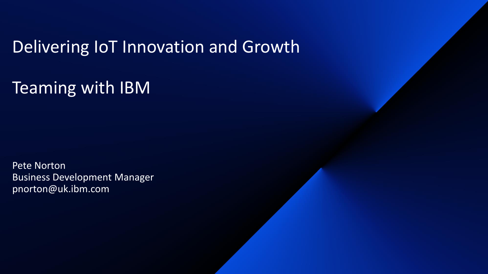### Delivering IoT Innovation and Growth

Teaming with IBM

Pete Norton Business Development Manager pnorton@uk.ibm.com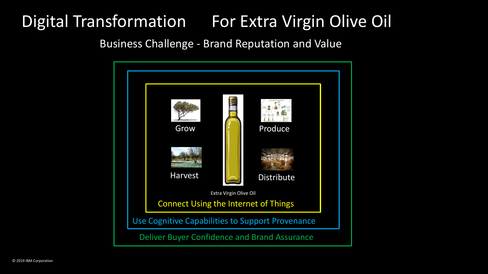### Digital Transformation For Extra Virgin Olive Oil

Business Challenge - Brand Reputation and Value

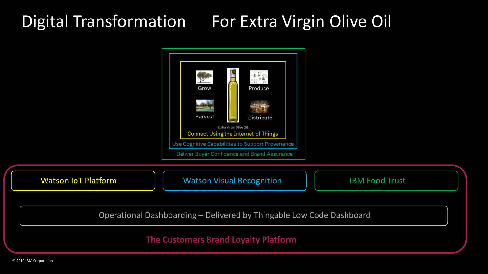### Digital Transformation For Extra Virgin Olive Oil

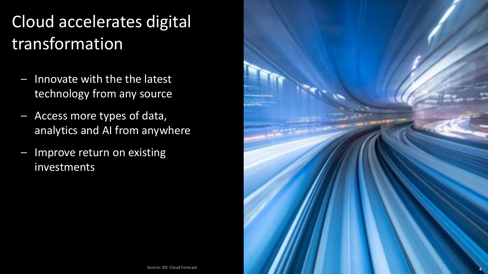## Cloud accelerates digital transformation

- Innovate with the the latest technology from any source
- Access more types of data, analytics and AI from anywhere
- Improve return on existing investments

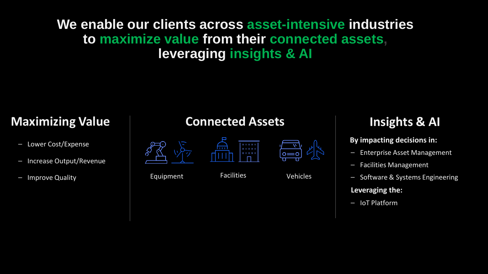#### **We enable our clients across asset-intensive industries to maximize value from their connected assets, leveraging insights & AI**

- Lower Cost/Expense
- Increase Output/Revenue
- Improve Quality **Equipment** Facilities Vehicles

#### **Maximizing Value Connected Assets**





 $\circ = \circ$ 

#### **Insights & AI**

#### **By impacting decisions in:**

- Enterprise Asset Management
- Facilities Management
- Software & Systems Engineering

#### **Leveraging the:**

 $-I$ oT Platform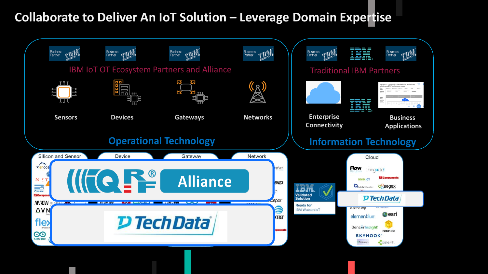#### **Collaborate to Deliver An IoT Solution – Leverage Domain Expertise**

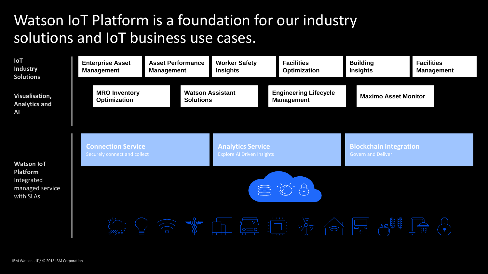#### Watson IoT Platform is a foundation for our industry solutions and IoT business use cases.

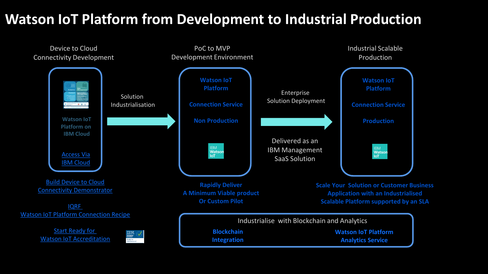#### **Watson IoT Platform from Development to Industrial Production**

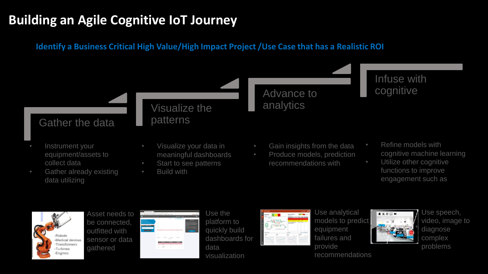#### **Building an Agile Cognitive IoT Journey**

#### **Identify a Business Critical High Value/High Impact Project /Use Case that has a Realistic ROI**





Asset needs to be connected, outfitted with sensor or data gathered

|                                                                                                                                                                                                                                                                                                                                                                                                                                                                                                                                                                        |            |                   | Fax: Winnells Wallenbard: Crediburg, Webster Line |                           |  |
|------------------------------------------------------------------------------------------------------------------------------------------------------------------------------------------------------------------------------------------------------------------------------------------------------------------------------------------------------------------------------------------------------------------------------------------------------------------------------------------------------------------------------------------------------------------------|------------|-------------------|---------------------------------------------------|---------------------------|--|
| ۰                                                                                                                                                                                                                                                                                                                                                                                                                                                                                                                                                                      |            |                   | -                                                 | <b>McNetter</b>           |  |
| showing the Ages<br>witness operations.<br><b>Commercial</b><br>which this different day<br>$\frac{1}{2} \left( \frac{1}{2} \right) \left( \frac{1}{2} \right) \left( \frac{1}{2} \right) \left( \frac{1}{2} \right) \left( \frac{1}{2} \right) \left( \frac{1}{2} \right) \left( \frac{1}{2} \right) \left( \frac{1}{2} \right) \left( \frac{1}{2} \right) \left( \frac{1}{2} \right) \left( \frac{1}{2} \right) \left( \frac{1}{2} \right) \left( \frac{1}{2} \right) \left( \frac{1}{2} \right) \left( \frac{1}{2} \right) \left( \frac{1}{2} \right) \left( \frac$ |            |                   |                                                   | ------------------------- |  |
|                                                                                                                                                                                                                                                                                                                                                                                                                                                                                                                                                                        | <b>SEC</b> | <b>STATISTICS</b> | <b>HARAN</b><br>Telephone                         | <b>HARAS</b>              |  |
|                                                                                                                                                                                                                                                                                                                                                                                                                                                                                                                                                                        |            |                   |                                                   |                           |  |
|                                                                                                                                                                                                                                                                                                                                                                                                                                                                                                                                                                        | ۰          | ≖                 | --<br>÷                                           | ---                       |  |
|                                                                                                                                                                                                                                                                                                                                                                                                                                                                                                                                                                        | ٠          | -                 | ٠                                                 |                           |  |
|                                                                                                                                                                                                                                                                                                                                                                                                                                                                                                                                                                        | ٠          | <b>STATISTICS</b> | ٠                                                 |                           |  |

Use the platform to quickly build dashboards for data visualization



Use analytical models to predict equipment failures and provide

recommendations



Use speech, video, image to diagnose complex problems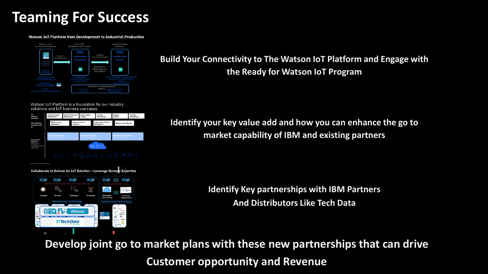#### **Teaming For Success**

**Watson IoT Platform from Development to Industrial Production** 



Watson IoT Platform is a foundation for our industry solutions and IoT business use cases.

**D** Tech Data



**Build Your Connectivity to The Watson IoT Platform and Engage with the Ready for Watson IoT Program**

**Identify your key value add and how you can enhance the go to market capability of IBM and existing partners**

> **Identify Key partnerships with IBM Partners And Distributors Like Tech Data**

**Develop joint go to market plans with these new partnerships that can drive Customer opportunity and Revenue**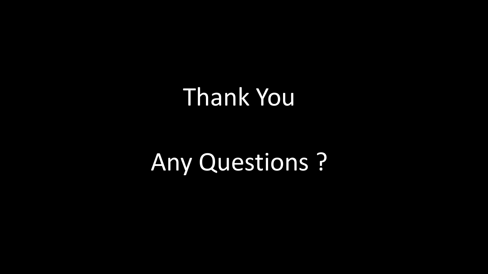## Thank You

# Any Questions ?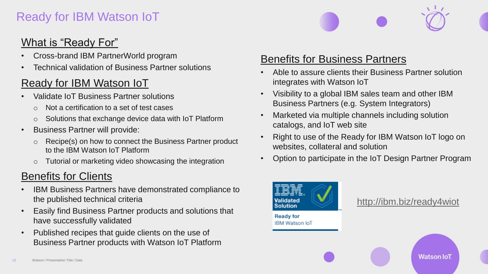#### Ready for IBM Watson IoT

#### What is "Ready For"

- Cross-brand IBM PartnerWorld program
- Technical validation of Business Partner solutions

#### Ready for IBM Watson IoT

- Validate IoT Business Partner solutions
	- o Not a certification to a set of test cases
	- o Solutions that exchange device data with IoT Platform
- Business Partner will provide:
	- o Recipe(s) on how to connect the Business Partner product to the IBM Watson IoT Platform
	- o Tutorial or marketing video showcasing the integration

#### Benefits for Clients

- IBM Business Partners have demonstrated compliance to the published technical criteria
- Easily find Business Partner products and solutions that have successfully validated
- Published recipes that guide clients on the use of Business Partner products with Watson IoT Platform

#### Benefits for Business Partners

- Able to assure clients their Business Partner solution integrates with Watson IoT
- Visibility to a global IBM sales team and other IBM Business Partners (e.g. System Integrators)
- Marketed via multiple channels including solution catalogs, and IoT web site
- Right to use of the Ready for IBM Watson IoT logo on websites, collateral and solution
- Option to participate in the IoT Design Partner Program